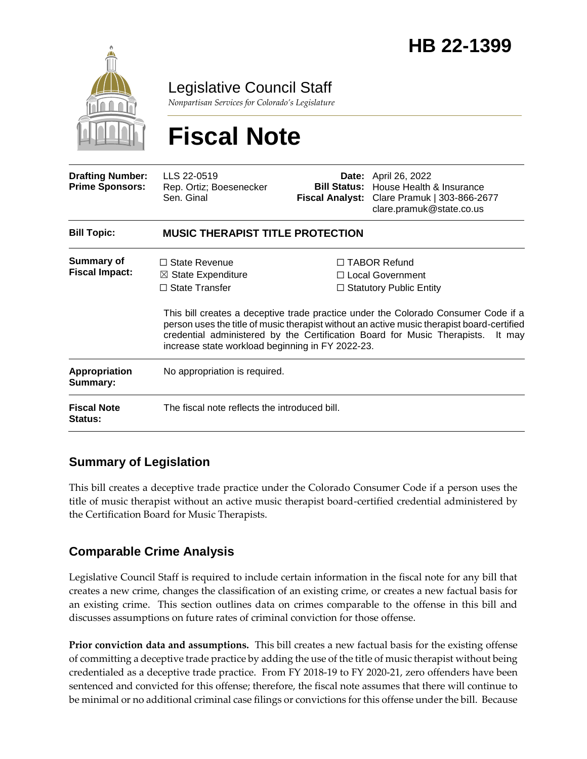

Legislative Council Staff

*Nonpartisan Services for Colorado's Legislature*

# **Fiscal Note**

| <b>Drafting Number:</b><br><b>Prime Sponsors:</b> | LLS 22-0519<br>Rep. Ortiz; Boesenecker<br>Sen. Ginal                                                                               |  | <b>Date:</b> April 26, 2022<br><b>Bill Status:</b> House Health & Insurance<br>Fiscal Analyst: Clare Pramuk   303-866-2677<br>clare.pramuk@state.co.us                                                                                                                                                                                                     |  |
|---------------------------------------------------|------------------------------------------------------------------------------------------------------------------------------------|--|------------------------------------------------------------------------------------------------------------------------------------------------------------------------------------------------------------------------------------------------------------------------------------------------------------------------------------------------------------|--|
| <b>Bill Topic:</b>                                | <b>MUSIC THERAPIST TITLE PROTECTION</b>                                                                                            |  |                                                                                                                                                                                                                                                                                                                                                            |  |
| Summary of<br><b>Fiscal Impact:</b>               | $\Box$ State Revenue<br>$\boxtimes$ State Expenditure<br>$\Box$ State Transfer<br>increase state workload beginning in FY 2022-23. |  | $\Box$ TABOR Refund<br>$\Box$ Local Government<br>$\Box$ Statutory Public Entity<br>This bill creates a deceptive trade practice under the Colorado Consumer Code if a<br>person uses the title of music therapist without an active music therapist board-certified<br>credential administered by the Certification Board for Music Therapists.<br>It may |  |
| Appropriation<br>Summary:                         | No appropriation is required.                                                                                                      |  |                                                                                                                                                                                                                                                                                                                                                            |  |
| <b>Fiscal Note</b><br>Status:                     | The fiscal note reflects the introduced bill.                                                                                      |  |                                                                                                                                                                                                                                                                                                                                                            |  |

## **Summary of Legislation**

This bill creates a deceptive trade practice under the Colorado Consumer Code if a person uses the title of music therapist without an active music therapist board-certified credential administered by the Certification Board for Music Therapists.

## **Comparable Crime Analysis**

Legislative Council Staff is required to include certain information in the fiscal note for any bill that creates a new crime, changes the classification of an existing crime, or creates a new factual basis for an existing crime. This section outlines data on crimes comparable to the offense in this bill and discusses assumptions on future rates of criminal conviction for those offense.

**Prior conviction data and assumptions.** This bill creates a new factual basis for the existing offense of committing a deceptive trade practice by adding the use of the title of music therapist without being credentialed as a deceptive trade practice. From FY 2018-19 to FY 2020-21, zero offenders have been sentenced and convicted for this offense; therefore, the fiscal note assumes that there will continue to be minimal or no additional criminal case filings or convictions for this offense under the bill. Because